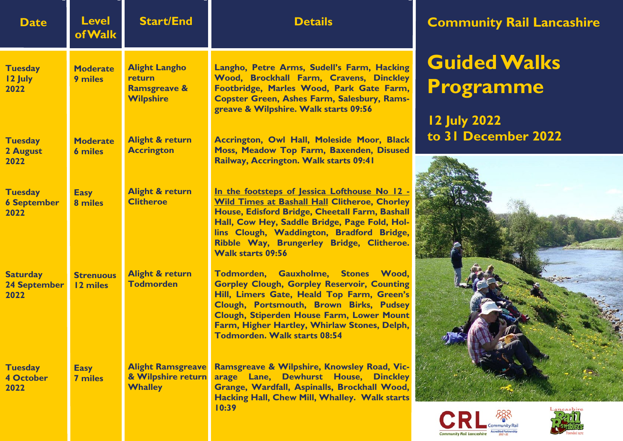| <b>Date</b>                                    | <b>Level</b><br><b>of Walk</b>    | <b>Start/End</b>                                                              | <b>Details</b>                                                                                                                                                                                                                                                                                                                 | Com                  |
|------------------------------------------------|-----------------------------------|-------------------------------------------------------------------------------|--------------------------------------------------------------------------------------------------------------------------------------------------------------------------------------------------------------------------------------------------------------------------------------------------------------------------------|----------------------|
| <b>Tuesday</b><br>12 July<br>2022              | <b>Moderate</b><br><b>9 miles</b> | <b>Alight Langho</b><br>return<br><b>Ramsgreave &amp;</b><br><b>Wilpshire</b> | Langho, Petre Arms, Sudell's Farm, Hacking<br>Wood, Brockhall Farm, Cravens, Dinckley<br>Footbridge, Marles Wood, Park Gate Farm,<br><b>Copster Green, Ashes Farm, Salesbury, Rams-</b><br>greave & Wilpshire. Walk starts 09:56                                                                                               | Gui<br>Pro<br>12 Jul |
| <b>Tuesday</b><br>2 August<br>2022             | <b>Moderate</b><br><b>6 miles</b> | <b>Alight &amp; return</b><br><b>Accrington</b>                               | Accrington, Owl Hall, Moleside Moor, Black<br>Moss, Meadow Top Farm, Baxenden, Disused<br>Railway, Accrington. Walk starts 09:41                                                                                                                                                                                               | to $31$              |
| <b>Tuesday</b><br><b>6 September</b><br>2022   | <b>Easy</b><br>8 miles            | <b>Alight &amp; return</b><br><b>Clitheroe</b>                                | In the footsteps of Jessica Lofthouse No 12 -<br><b>Wild Times at Bashall Hall Clitheroe, Chorley</b><br>House, Edisford Bridge, Cheetall Farm, Bashall<br>Hall, Cow Hey, Saddle Bridge, Page Fold, Hol-<br>lins Clough, Waddington, Bradford Bridge,<br>Ribble Way, Brungerley Bridge, Clitheroe.<br><b>Walk starts 09:56</b> |                      |
| <b>Saturday</b><br><b>24 September</b><br>2022 | <b>Strenuous</b><br>12 miles      | <b>Alight &amp; return</b><br><b>Todmorden</b>                                | Todmorden, Gauxholme, Stones Wood,<br><b>Gorpley Clough, Gorpley Reservoir, Counting</b><br>Hill, Limers Gate, Heald Top Farm, Green's<br>Clough, Portsmouth, Brown Birks, Pudsey<br>Clough, Stiperden House Farm, Lower Mount<br>Farm, Higher Hartley, Whirlaw Stones, Delph,<br><b>Todmorden. Walk starts 08:54</b>          |                      |
| <b>Tuesday</b><br><b>4 October</b><br>2022     | <b>Easy</b><br><b>7 miles</b>     | <b>Alight Ramsgreave</b><br>& Wilpshire return<br><b>Whalley</b>              | Ramsgreave & Wilpshire, Knowsley Road, Vic-<br>arage Lane, Dewhurst House, Dinckley<br>Grange, Wardfall, Aspinalls, Brockhall Wood,<br>Hacking Hall, Chew Mill, Whalley. Walk starts<br>10:39                                                                                                                                  |                      |

## **Community Rail Lancashire Community Rail Lancashire Community Rail Lancashire Community Rail Lancashire**

## **Guided Walks Guided Walks Programme Programme Guided Walks Guided Walks Guided Walks Guided Walks Guided Walks Guided Walks Guided Walks Programme Programme Programme Programme Programme Programme Programme Guided Walks Programme**

**12 July 2022 12 July 2022 to 31 December 2022 to 31 December 2022 12 July 2022 12 July 2022 12 July 2022 12 July 2022 12 July 2022 12 July 2022 12 July 2022 to 31 December 2022 to 31 December 2022 to 31 December 2022 to 31 December 2022 to 31 December 2022 to 31 December 2022 to 31 December 2022 12 July 2022 to 31 December 2022**